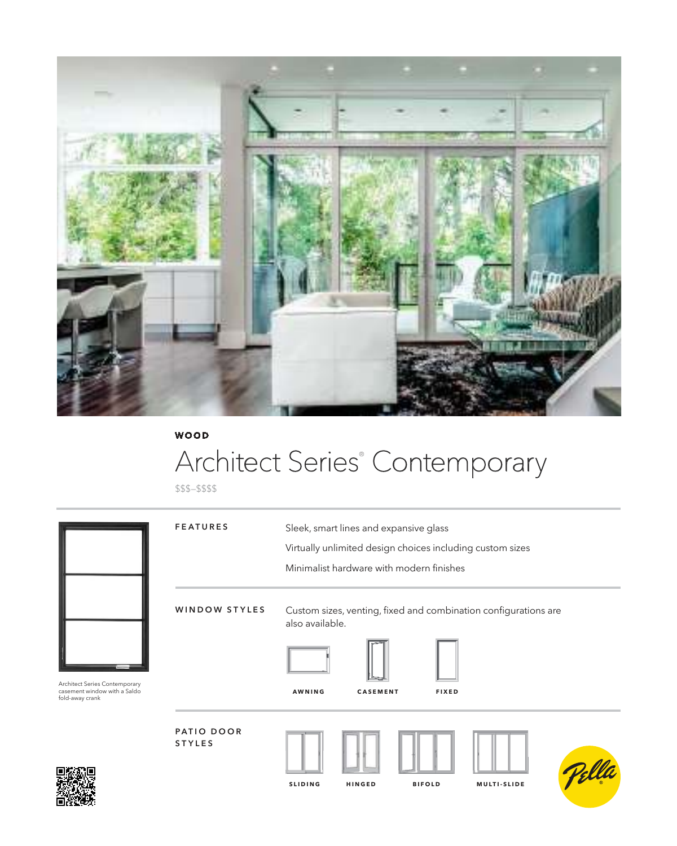

### **WOOD**

# Architect Series® Contemporary

\$\$\$–\$\$\$\$



**SLIDING HINGED BIFOLD MULTI-SLIDE**

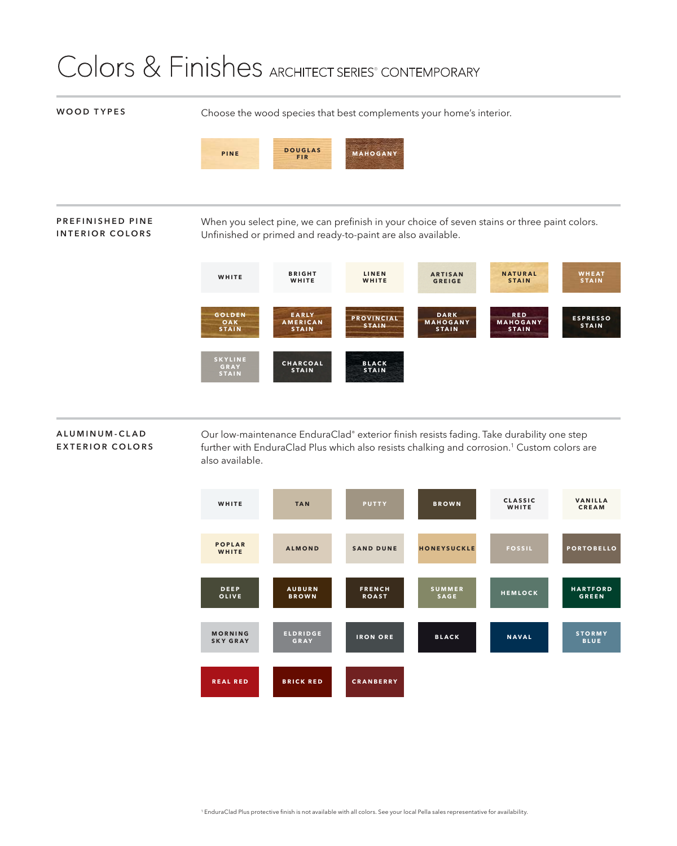## Colors & Finishes ARCHITECT SERIES® CONTEMPORARY

#### **WOOD TYPES**

Choose the wood species that best complements your home's interior.



#### **PREFINISHED PINE INTERIOR COLORS**

When you select pine, we can prefinish in your choice of seven stains or three paint colors. Unfinished or primed and ready-to-paint are also available.



#### **A L U M I N U M - C L A D EXTERIOR COLORS**

Our low-maintenance EnduraClad® exterior fi nish resists fading. Take durability one step further with EnduraClad Plus which also resists chalking and corrosion.<sup>1</sup> Custom colors are also available.

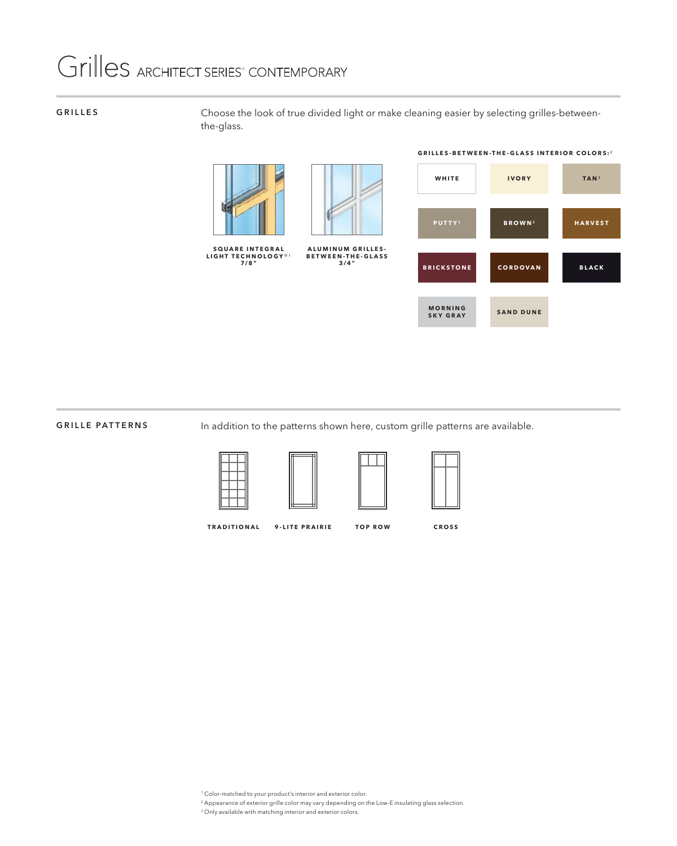## Grilles ARCHITECT SERIES<sup>®</sup> CONTEMPORARY

#### **GRILLES**

Choose the look of true divided light or make cleaning easier by selecting grilles-betweenthe-glass.





#### **GRILLE PATTERNS**

In addition to the patterns shown here, custom grille patterns are available.







**TRADITIONAL 9-LITE PRAIRIE**

**TOP ROW CROSS**

1 Color-matched to your product's interior and exterior color.

- 2 Appearance of exterior grille color may vary depending on the Low-E insulating glass selection.
- 3 Only available with matching interior and exterior colors.

**GRILLES-BETWEEN-THE-GLASS INTERIOR COLORS:**²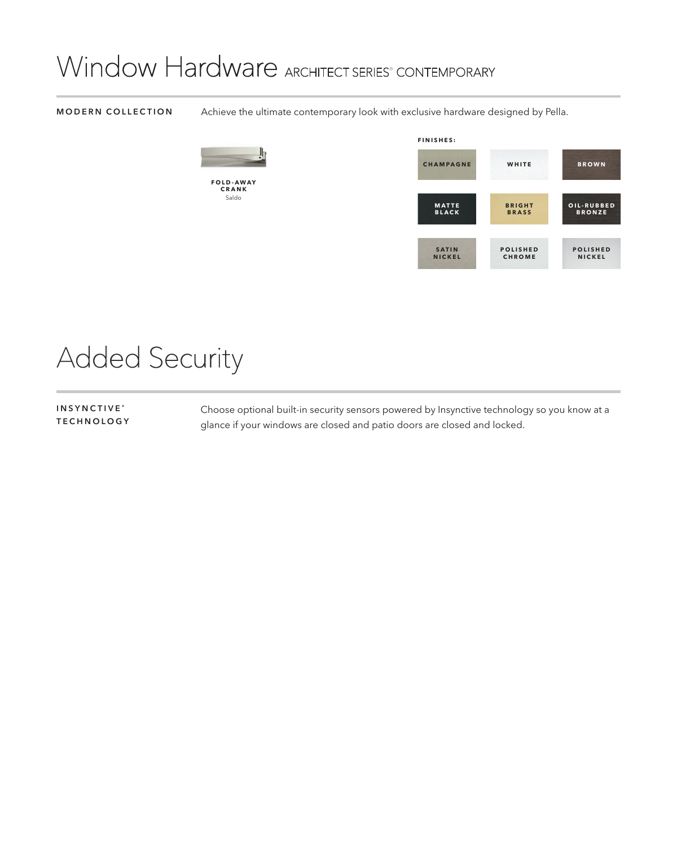## Window Hardware ARCHITECT SERIES® CONTEMPORARY

**FOLD-AWAY CRANK** Saldo

#### **MODERN COLLECTION**

Achieve the ultimate contemporary look with exclusive hardware designed by Pella.



# Added Security

**INSYNCTIVE ® TECHNOLOGY** Choose optional built-in security sensors powered by Insynctive technology so you know at a glance if your windows are closed and patio doors are closed and locked.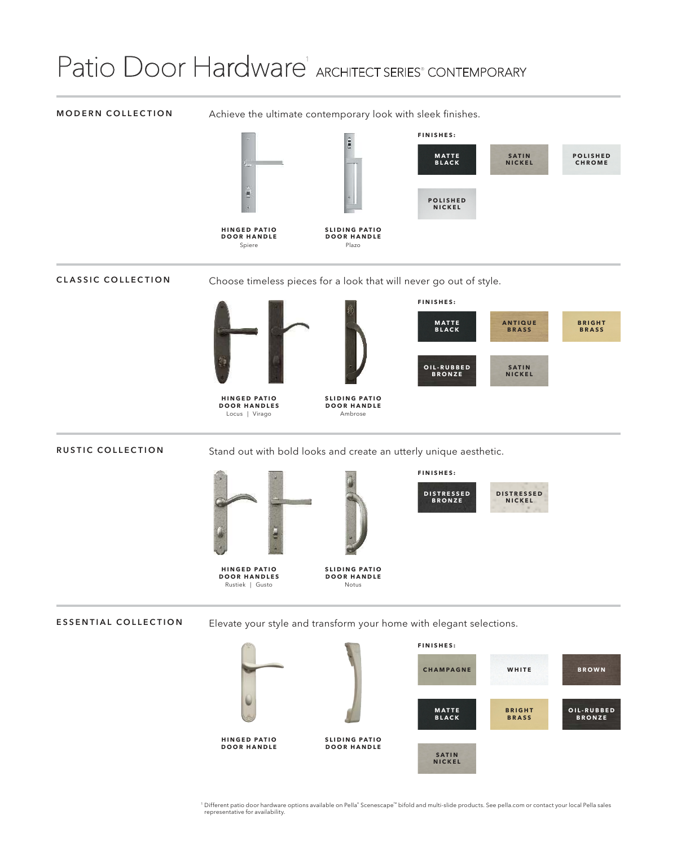# Patio Door Hardware<sup>1</sup> ARCHITECT SERIES<sup>®</sup> CONTEMPORARY

#### **MODERN COLLECTION**

Achieve the ultimate contemporary look with sleek finishes.



#### **CLASSIC COLLECTION**

Choose timeless pieces for a look that will never go out of style.



**DOOR HANDLES** Locus | Virago

**SLIDING PATIO DOOR HANDLE** Ambrose

#### **RUSTIC COLLECTION**

Stand out with bold looks and create an utterly unique aesthetic.







**FINISHES:**



**ESSENTIAL COLLECTION** Elevate your style and transform your home with elegant selections.



1 Different patio door hardware options available on Pella® Scenescape™ bifold and multi-slide products. See pella.com or contact your local Pella sales representative for availability.